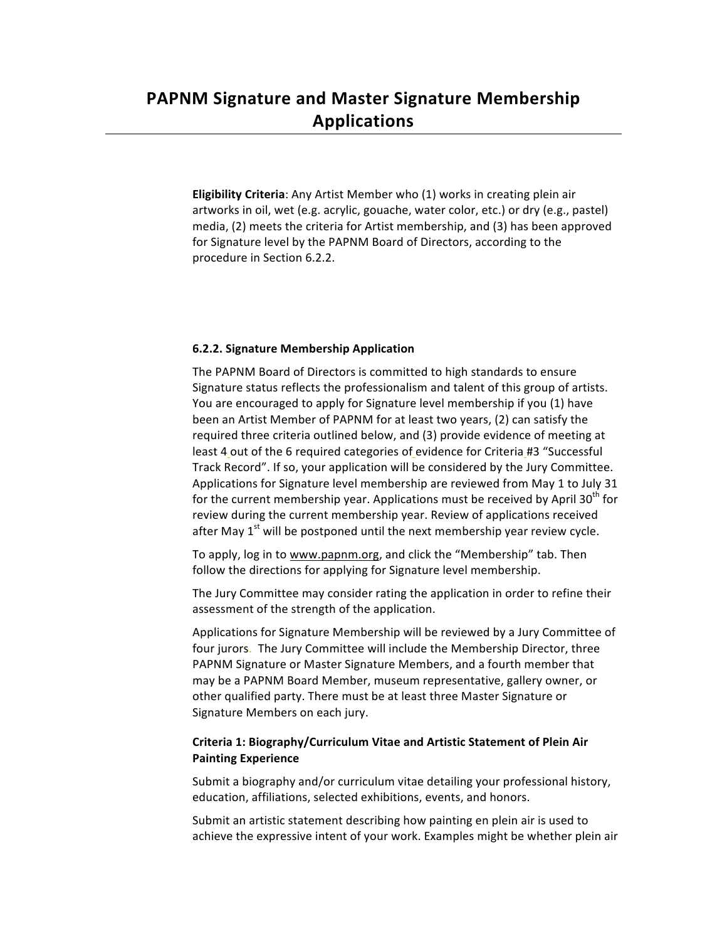**Eligibility Criteria:** Any Artist Member who (1) works in creating plein air artworks in oil, wet (e.g. acrylic, gouache, water color, etc.) or dry (e.g., pastel) media, (2) meets the criteria for Artist membership, and (3) has been approved for Signature level by the PAPNM Board of Directors, according to the procedure in Section 6.2.2.

### **6.2.2. Signature Membership Application**

The PAPNM Board of Directors is committed to high standards to ensure Signature status reflects the professionalism and talent of this group of artists. You are encouraged to apply for Signature level membership if you (1) have been an Artist Member of PAPNM for at least two years, (2) can satisfy the required three criteria outlined below, and (3) provide evidence of meeting at least 4 out of the 6 required categories of evidence for Criteria #3 "Successful Track Record". If so, your application will be considered by the Jury Committee. Applications for Signature level membership are reviewed from May 1 to July 31 for the current membership year. Applications must be received by April 30<sup>th</sup> for review during the current membership year. Review of applications received after May  $1^{st}$  will be postponed until the next membership year review cycle.

To apply, log in to www.papnm.org, and click the "Membership" tab. Then follow the directions for applying for Signature level membership.

The Jury Committee may consider rating the application in order to refine their assessment of the strength of the application.

Applications for Signature Membership will be reviewed by a Jury Committee of four jurors. The Jury Committee will include the Membership Director, three PAPNM Signature or Master Signature Members, and a fourth member that may be a PAPNM Board Member, museum representative, gallery owner, or other qualified party. There must be at least three Master Signature or Signature Members on each jury.

### **Criteria 1: Biography/Curriculum Vitae and Artistic Statement of Plein Air Painting Experience**

Submit a biography and/or curriculum vitae detailing your professional history, education, affiliations, selected exhibitions, events, and honors.

Submit an artistic statement describing how painting en plein air is used to achieve the expressive intent of your work. Examples might be whether plein air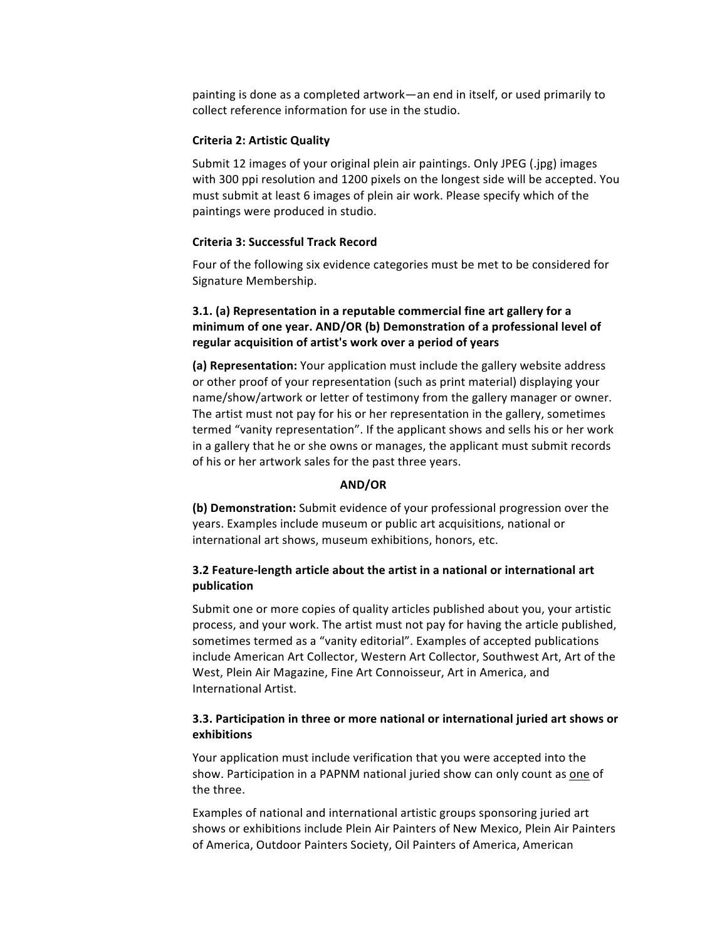painting is done as a completed artwork—an end in itself, or used primarily to collect reference information for use in the studio.

#### **Criteria 2: Artistic Quality**

Submit 12 images of your original plein air paintings. Only JPEG (.jpg) images with 300 ppi resolution and 1200 pixels on the longest side will be accepted. You must submit at least 6 images of plein air work. Please specify which of the paintings were produced in studio.

#### **Criteria 3: Successful Track Record**

Four of the following six evidence categories must be met to be considered for Signature Membership.

# **3.1.** (a) Representation in a reputable commercial fine art gallery for a minimum of one year. AND/OR (b) Demonstration of a professional level of regular acquisition of artist's work over a period of years

**(a) Representation:** Your application must include the gallery website address or other proof of your representation (such as print material) displaying your name/show/artwork or letter of testimony from the gallery manager or owner. The artist must not pay for his or her representation in the gallery, sometimes termed "vanity representation". If the applicant shows and sells his or her work in a gallery that he or she owns or manages, the applicant must submit records of his or her artwork sales for the past three years.

#### **AND/OR**

**(b) Demonstration:** Submit evidence of your professional progression over the years. Examples include museum or public art acquisitions, national or international art shows, museum exhibitions, honors, etc.

### **3.2 Feature-length article about the artist in a national or international art publication**

Submit one or more copies of quality articles published about you, your artistic process, and your work. The artist must not pay for having the article published, sometimes termed as a "vanity editorial". Examples of accepted publications include American Art Collector, Western Art Collector, Southwest Art, Art of the West, Plein Air Magazine, Fine Art Connoisseur, Art in America, and International Artist.

# **3.3. Participation in three or more national or international juried art shows or exhibitions**

Your application must include verification that you were accepted into the show. Participation in a PAPNM national juried show can only count as one of the three.

Examples of national and international artistic groups sponsoring juried art shows or exhibitions include Plein Air Painters of New Mexico, Plein Air Painters of America, Outdoor Painters Society, Oil Painters of America, American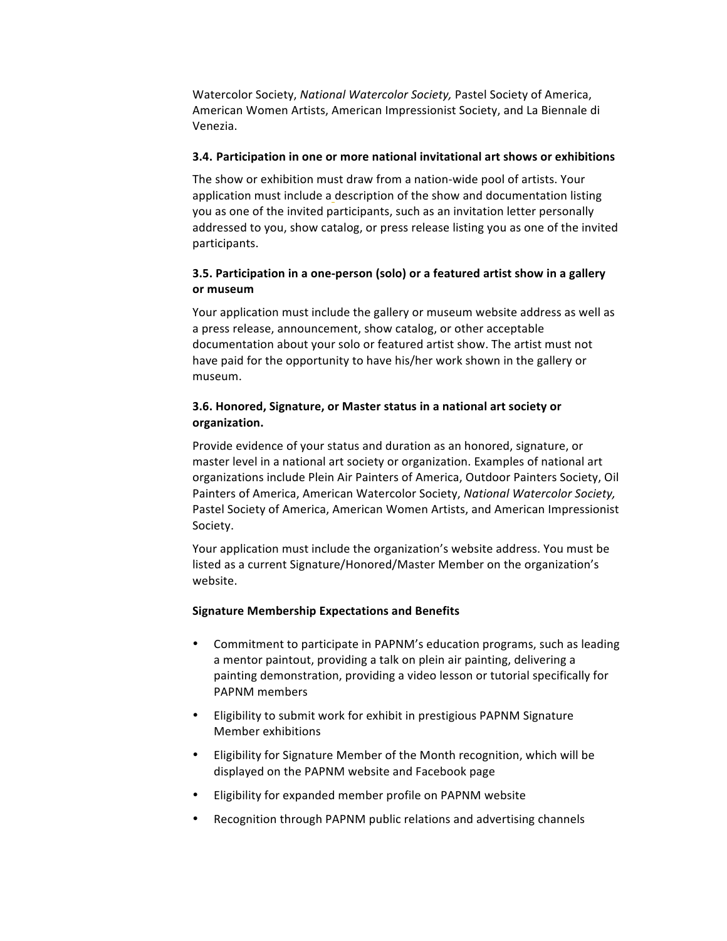Watercolor Society, *National Watercolor Society*, Pastel Society of America, American Women Artists, American Impressionist Society, and La Biennale di Venezia.

#### **3.4.** Participation in one or more national invitational art shows or exhibitions

The show or exhibition must draw from a nation-wide pool of artists. Your application must include a description of the show and documentation listing you as one of the invited participants, such as an invitation letter personally addressed to you, show catalog, or press release listing you as one of the invited participants.

## **3.5.** Participation in a one-person (solo) or a featured artist show in a gallery **or museum**

Your application must include the gallery or museum website address as well as a press release, announcement, show catalog, or other acceptable documentation about your solo or featured artist show. The artist must not have paid for the opportunity to have his/her work shown in the gallery or museum. 

# **3.6. Honored, Signature, or Master status in a national art society or organization.**

Provide evidence of your status and duration as an honored, signature, or master level in a national art society or organization. Examples of national art organizations include Plein Air Painters of America, Outdoor Painters Society, Oil Painters of America, American Watercolor Society, *National Watercolor Society*, Pastel Society of America, American Women Artists, and American Impressionist Society.

Your application must include the organization's website address. You must be listed as a current Signature/Honored/Master Member on the organization's website.

#### **Signature Membership Expectations and Benefits**

- Commitment to participate in PAPNM's education programs, such as leading a mentor paintout, providing a talk on plein air painting, delivering a painting demonstration, providing a video lesson or tutorial specifically for PAPNM members
- Eligibility to submit work for exhibit in prestigious PAPNM Signature Member exhibitions
- Eligibility for Signature Member of the Month recognition, which will be displayed on the PAPNM website and Facebook page
- Eligibility for expanded member profile on PAPNM website
- Recognition through PAPNM public relations and advertising channels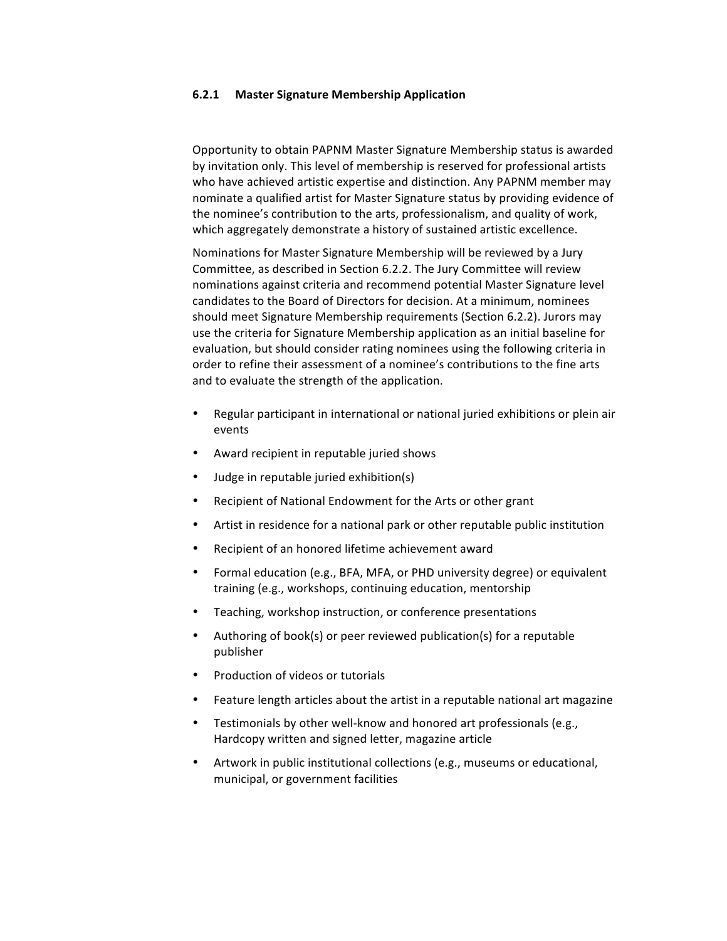#### **6.2.1 Master Signature Membership Application**

Opportunity to obtain PAPNM Master Signature Membership status is awarded by invitation only. This level of membership is reserved for professional artists who have achieved artistic expertise and distinction. Any PAPNM member may nominate a qualified artist for Master Signature status by providing evidence of the nominee's contribution to the arts, professionalism, and quality of work, which aggregately demonstrate a history of sustained artistic excellence.

Nominations for Master Signature Membership will be reviewed by a Jury Committee, as described in Section 6.2.2. The Jury Committee will review nominations against criteria and recommend potential Master Signature level candidates to the Board of Directors for decision. At a minimum, nominees should meet Signature Membership requirements (Section 6.2.2). Jurors may use the criteria for Signature Membership application as an initial baseline for evaluation, but should consider rating nominees using the following criteria in order to refine their assessment of a nominee's contributions to the fine arts and to evaluate the strength of the application.

- Regular participant in international or national juried exhibitions or plein air events
- Award recipient in reputable juried shows
- Judge in reputable juried exhibition(s)
- Recipient of National Endowment for the Arts or other grant
- Artist in residence for a national park or other reputable public institution
- Recipient of an honored lifetime achievement award
- Formal education (e.g., BFA, MFA, or PHD university degree) or equivalent training (e.g., workshops, continuing education, mentorship
- Teaching, workshop instruction, or conference presentations
- Authoring of book(s) or peer reviewed publication(s) for a reputable publisher
- Production of videos or tutorials
- Feature length articles about the artist in a reputable national art magazine
- Testimonials by other well-know and honored art professionals (e.g., Hardcopy written and signed letter, magazine article
- Artwork in public institutional collections (e.g., museums or educational, municipal, or government facilities